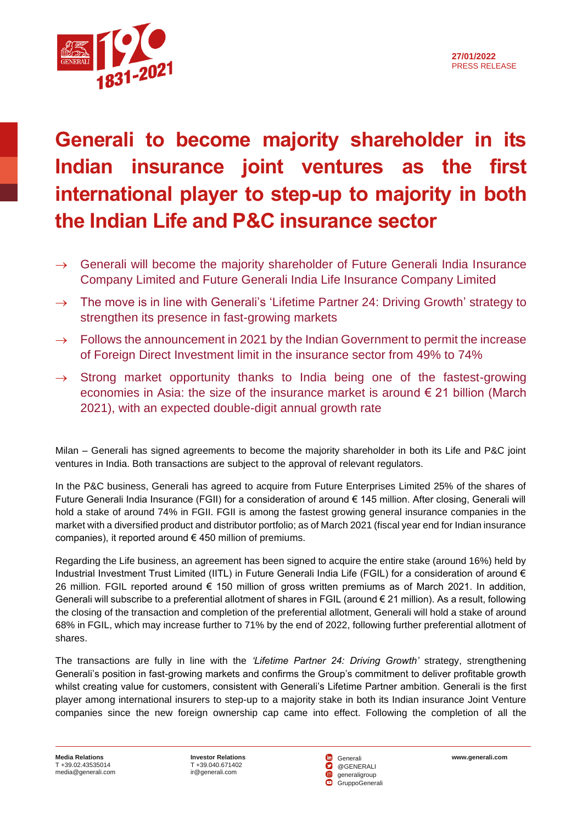



## **Generali to become majority shareholder in its Indian insurance joint ventures as the first international player to step-up to majority in both the Indian Life and P&C insurance sector**

- $\rightarrow$  Generali will become the majority shareholder of Future Generali India Insurance Company Limited and Future Generali India Life Insurance Company Limited
- $\rightarrow$  The move is in line with Generali's 'Lifetime Partner 24: Driving Growth' strategy to strengthen its presence in fast-growing markets
- $\rightarrow$  Follows the announcement in 2021 by the Indian Government to permit the increase of Foreign Direct Investment limit in the insurance sector from 49% to 74%
- $\rightarrow$  Strong market opportunity thanks to India being one of the fastest-growing economies in Asia: the size of the insurance market is around  $\epsilon$  21 billion (March 2021), with an expected double-digit annual growth rate

Milan – Generali has signed agreements to become the majority shareholder in both its Life and P&C joint ventures in India. Both transactions are subject to the approval of relevant regulators.

In the P&C business, Generali has agreed to acquire from Future Enterprises Limited 25% of the shares of Future Generali India Insurance (FGII) for a consideration of around € 145 million. After closing, Generali will hold a stake of around 74% in FGII. FGII is among the fastest growing general insurance companies in the market with a diversified product and distributor portfolio; as of March 2021 (fiscal year end for Indian insurance companies), it reported around  $\epsilon$  450 million of premiums.

Regarding the Life business, an agreement has been signed to acquire the entire stake (around 16%) held by Industrial Investment Trust Limited (IITL) in Future Generali India Life (FGIL) for a consideration of around € 26 million. FGIL reported around € 150 million of gross written premiums as of March 2021. In addition, Generali will subscribe to a preferential allotment of shares in FGIL (around € 21 million). As a result, following the closing of the transaction and completion of the preferential allotment, Generali will hold a stake of around 68% in FGIL, which may increase further to 71% by the end of 2022, following further preferential allotment of shares.

The transactions are fully in line with the *'Lifetime Partner 24: Driving Growth'* strategy, strengthening Generali's position in fast-growing markets and confirms the Group's commitment to deliver profitable growth whilst creating value for customers, consistent with Generali's Lifetime Partner ambition. Generali is the first player among international insurers to step-up to a majority stake in both its Indian insurance Joint Venture companies since the new foreign ownership cap came into effect. Following the completion of all the

**Investor Relations [www.generali.com](http://www.generali.com/)** T +39.040.671402 [ir@generali.com](mailto:ir@generali.com)